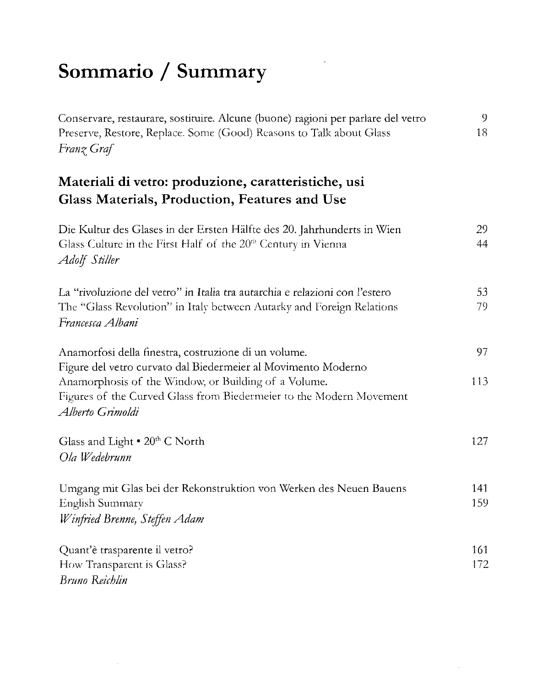## Sommario / Summary

| Conservare, restaurare, sostituire. Alcune (buone) ragioni per parlare del vetro<br>Preserve, Restore, Replace. Some (Good) Reasons to Talk about Glass<br>Franz Graf         | 9<br>18    |
|-------------------------------------------------------------------------------------------------------------------------------------------------------------------------------|------------|
| Materiali di vetro: produzione, caratteristiche, usi<br>Glass Materials, Production, Features and Use                                                                         |            |
| Die Kultur des Glases in der Ersten Hälfte des 20. Jahrhunderts in Wien<br>Glass Culture in the First Half of the 20 <sup>th</sup> Century in Vienna<br>Adolf Stiller         | 29<br>44   |
| La "rivoluzione del vetro" in Italia tra autarchia e relazioni con l'estero<br>The "Glass Revolution" in Italy between Autarky and Foreign Relations<br>Francesca Albani      | 53<br>79   |
| Anamorfosi della finestra, costruzione di un volume.<br>Figure del vetro curvato dal Biedermeier al Movimento Moderno<br>Anamorphosis of the Window, or Building of a Volume. | 97<br>113  |
| Figures of the Curved Glass from Biedermeier to the Modern Movement<br>Alberto Grimoldi                                                                                       |            |
| Glass and Light . 20th C North<br>Ola Wedebrunn                                                                                                                               | 127        |
| Umgang mit Glas bei der Rekonstruktion von Werken des Neuen Bauens<br>English Summary<br>Winfried Brenne, Steffen Adam                                                        | 141<br>159 |
| Quant'è trasparente il vetro?<br>How Transparent is Glass?<br>Bruno Reichlin                                                                                                  | 161<br>172 |

÷,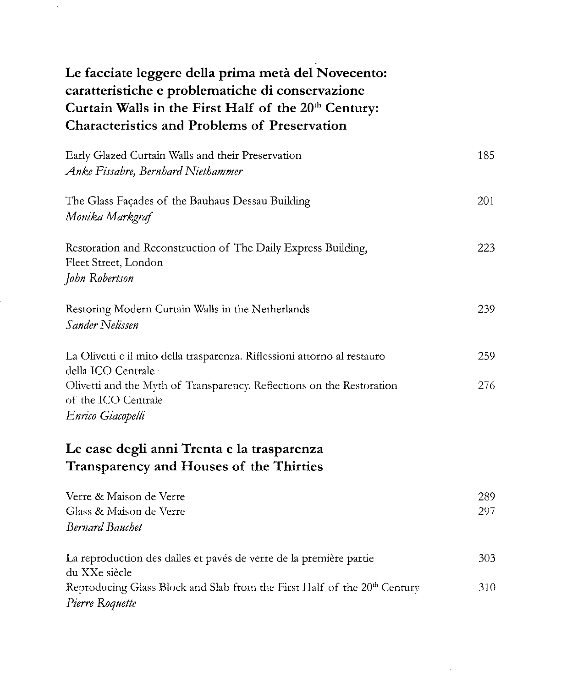| Le facciate leggere della prima metà del Novecento:<br>caratteristiche e problematiche di conservazione<br>Curtain Walls in the First Half of the 20th Century:<br><b>Characteristics and Problems of Preservation</b> |            |
|------------------------------------------------------------------------------------------------------------------------------------------------------------------------------------------------------------------------|------------|
| Early Glazed Curtain Walls and their Preservation<br>Anke Fissabre, Bernhard Niethammer                                                                                                                                | 185        |
| The Glass Façades of the Bauhaus Dessau Building<br>Monika Markgraf                                                                                                                                                    | 201        |
| Restoration and Reconstruction of The Daily Express Building,<br>Fleet Street, London<br>John Robertson                                                                                                                | 223        |
| Restoring Modern Curtain Walls in the Netherlands<br>Sander Nelissen                                                                                                                                                   | 239        |
| La Olivetti e il mito della trasparenza. Riflessioni attorno al restauro<br>della ICO Centrale ·<br>Olivetti and the Myth of Transparency. Reflections on the Restoration<br>of the ICO Centrale<br>Enrico Giacopelli  | 259<br>276 |
| Le case degli anni Trenta e la trasparenza<br>Transparency and Houses of the Thirties                                                                                                                                  |            |
| Verre & Maison de Verre<br>Glass & Maison de Verre<br><b>Bernard Bauchet</b>                                                                                                                                           | 289<br>297 |
| La reproduction des dalles et pavés de verre de la première partie<br>du XXe siècle<br>Reproducing Glass Block and Slab from the First Half of the 20 <sup>th</sup> Century<br>Pierre Roquette                         | 303<br>310 |

 $\sim$